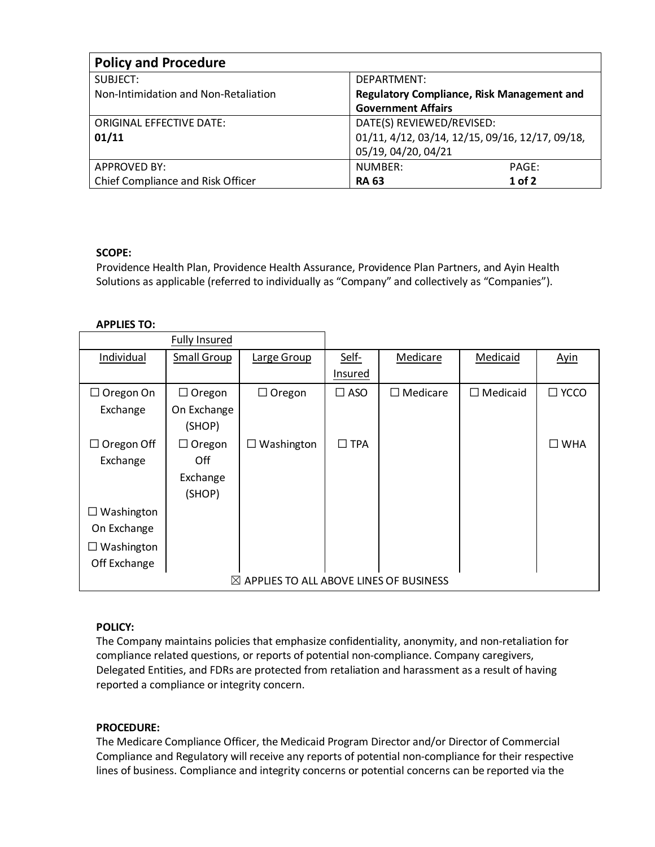| <b>Policy and Procedure</b>          |                                                   |  |  |  |  |  |
|--------------------------------------|---------------------------------------------------|--|--|--|--|--|
| SUBJECT:                             | DEPARTMENT:                                       |  |  |  |  |  |
| Non-Intimidation and Non-Retaliation | <b>Regulatory Compliance, Risk Management and</b> |  |  |  |  |  |
|                                      | <b>Government Affairs</b>                         |  |  |  |  |  |
| <b>ORIGINAL EFFECTIVE DATE:</b>      | DATE(S) REVIEWED/REVISED:                         |  |  |  |  |  |
| 01/11                                | 01/11, 4/12, 03/14, 12/15, 09/16, 12/17, 09/18,   |  |  |  |  |  |
|                                      | 05/19, 04/20, 04/21                               |  |  |  |  |  |
| <b>APPROVED BY:</b>                  | NUMBER:<br>PAGE:                                  |  |  |  |  |  |
| Chief Compliance and Risk Officer    | $1$ of 2<br><b>RA 63</b>                          |  |  |  |  |  |

# **SCOPE:**

Providence Health Plan, Providence Health Assurance, Providence Plan Partners, and Ayin Health Solutions as applicable (referred to individually as "Company" and collectively as "Companies").

## **APPLIES TO:**

|                                                    | <b>Fully Insured</b> |                   |               |                    |                 |                |
|----------------------------------------------------|----------------------|-------------------|---------------|--------------------|-----------------|----------------|
| Individual                                         | Small Group          | Large Group       | Self-         | Medicare           | Medicaid        | <b>Ayin</b>    |
|                                                    |                      |                   | Insured       |                    |                 |                |
| $\Box$ Oregon On                                   | $\Box$ Oregon        | $\Box$ Oregon     | $\square$ ASO | $\square$ Medicare | $\Box$ Medicaid | $\square$ YCCO |
| Exchange                                           | On Exchange          |                   |               |                    |                 |                |
|                                                    | (SHOP)               |                   |               |                    |                 |                |
| $\Box$ Oregon Off                                  | $\Box$ Oregon        | $\Box$ Washington | $\square$ TPA |                    |                 | $\square$ WHA  |
| Exchange                                           | Off                  |                   |               |                    |                 |                |
|                                                    | Exchange             |                   |               |                    |                 |                |
|                                                    | (SHOP)               |                   |               |                    |                 |                |
| $\Box$ Washington                                  |                      |                   |               |                    |                 |                |
| On Exchange                                        |                      |                   |               |                    |                 |                |
| $\Box$ Washington                                  |                      |                   |               |                    |                 |                |
| Off Exchange                                       |                      |                   |               |                    |                 |                |
| $\boxtimes$ APPLIES TO ALL ABOVE LINES OF BUSINESS |                      |                   |               |                    |                 |                |

## **POLICY:**

The Company maintains policies that emphasize confidentiality, anonymity, and non-retaliation for compliance related questions, or reports of potential non-compliance. Company caregivers, Delegated Entities, and FDRs are protected from retaliation and harassment as a result of having reported a compliance or integrity concern.

## **PROCEDURE:**

The Medicare Compliance Officer, the Medicaid Program Director and/or Director of Commercial Compliance and Regulatory will receive any reports of potential non-compliance for their respective lines of business. Compliance and integrity concerns or potential concerns can be reported via the